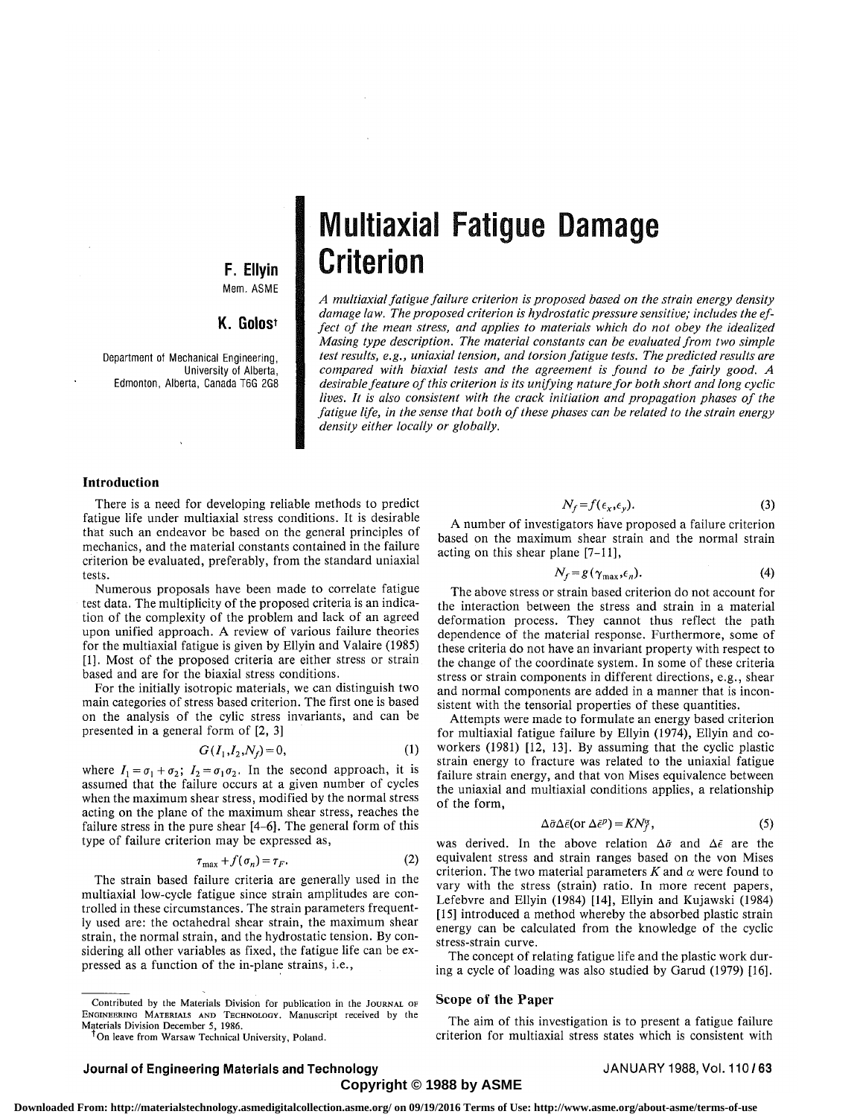### **F. Ellyin**  Mem. ASME

### **K. Golost**

Department of Mechanical Engineering, University of Alberta, Edmonton, Alberta, Canada T6G 2G8

# Multiaxial Fatigue Damage Criterion

*A multiaxial fatigue failure criterion is proposed based on the strain energy density damage law. The proposed criterion is hydrostatic pressure sensitive; includes the effect of the mean stress, and applies to materials which do not obey the idealized Masing type description. The material constants can be evaluated from two simple test results, e.g., uniaxial tension, and torsion fatigue tests. The predicted results are compared with biaxial tests and the agreement is found to be fairly good. A desirable feature of this criterion is its unifying nature for both short and long cyclic lives. It is also consistent with the crack initiation and propagation phases of the fatigue life, in the sense that both of these phases can be related to the strain energy density either locally or globally.* 

#### **Introduction**

There is a need for developing reliable methods to predict fatigue life under multiaxial stress conditions. It is desirable that such an endeavor be based on the general principles of mechanics, and the material constants contained in the failure criterion be evaluated, preferably, from the standard uniaxial tests.

Numerous proposals have been made to correlate fatigue test data. The multiplicity of the proposed criteria is an indication of the complexity of the problem and lack of an agreed upon unified approach. A review of various failure theories for the multiaxial fatigue is given by Ellyin and Valaire (1985) [1]. Most of the proposed criteria are either stress or strain based and are for the biaxial stress conditions.

For the initially isotropic materials, we can distinguish two main categories of stress based criterion. The first one is based on the analysis of the cylic stress invariants, and can be presented in a general form of [2, 3]

$$
G(I_1, I_2, N_f) = 0,\t(1)
$$

where  $I_1 = \sigma_1 + \sigma_2$ ;  $I_2 = \sigma_1 \sigma_2$ . In the second approach, it is assumed that the failure occurs at a given number of cycles when the maximum shear stress, modified by the normal stress acting on the plane of the maximum shear stress, reaches the failure stress in the pure shear [4-6]. The general form of this type of failure criterion may be expressed as,

$$
\tau_{\text{max}} + f(\sigma_n) = \tau_F. \tag{2}
$$

The strain based failure criteria are generally used in the multiaxial low-cycle fatigue since strain amplitudes are controlled in these circumstances. The strain parameters frequently used are: the octahedral shear strain, the maximum shear strain, the normal strain, and the hydrostatic tension. By considering all other variables as fixed, the fatigue life can be expressed as a function of the in-plane strains, i.e.,

Contributed by the Materials Division for publication in the JOURNAL OF ENGINEERING MATERIALS AND TECHNOLOGY. Manuscript received by the Materials Division December 5, 1986.

<sup>T</sup>On leave from Warsaw Technical University, Poland.

$$
N_f = f(\epsilon_x, \epsilon_y). \tag{3}
$$

A number of investigators have proposed a failure criterion based on the maximum shear strain and the normal strain acting on this shear plane [7-11],

$$
N_f = g(\gamma_{\text{max}}, \epsilon_n). \tag{4}
$$

The above stress or strain based criterion do not account for the interaction between the stress and strain in a material deformation process. They cannot thus reflect the path dependence of the material response. Furthermore, some of these criteria do not have an invariant property with respect to the change of the coordinate system. In some of these criteria stress or strain components in different directions, e.g., shear and normal components are added in a manner that is inconsistent with the tensorial properties of these quantities.

Attempts were made to formulate an energy based criterion for multiaxial fatigue failure by Ellyin (1974), Ellyin and coworkers (1981) [12, 13]. By assuming that the cyclic plastic strain energy to fracture was related to the uniaxial fatigue failure strain energy, and that von Mises equivalence between the uniaxial and multiaxial conditions applies, a relationship of the form,

$$
\Delta \bar{\sigma} \Delta \bar{\epsilon} (\text{or } \Delta \bar{\epsilon}^p) = KN_f^{\alpha}, \qquad (5)
$$

was derived. In the above relation  $\Delta \bar{\sigma}$  and  $\Delta \bar{\epsilon}$  are the equivalent stress and strain ranges based on the von Mises criterion. The two material parameters  $K$  and  $\alpha$  were found to vary with the stress (strain) ratio. In more recent papers, Lefebvre and Ellyin (1984) [14], Ellyin and Kujawski (1984) [15] introduced a method whereby the absorbed plastic strain energy can be calculated from the knowledge of the cyclic stress-strain curve.

The concept of relating fatigue life and the plastic work during a cycle of loading was also studied by Garud (1979) [16].

#### **Scope of the Paper**

The aim of this investigation is to present a fatigue failure criterion for multiaxial stress states which is consistent with

#### **Journal of Engineering Materials and Technology Community Community ADANUARY 1988, Vol. 110/63 Copyright © 1988 by ASME**

 **Downloaded From: http://materialstechnology.asmedigitalcollection.asme.org/ on 09/19/2016 Terms of Use: http://www.asme.org/about-asme/terms-of-use**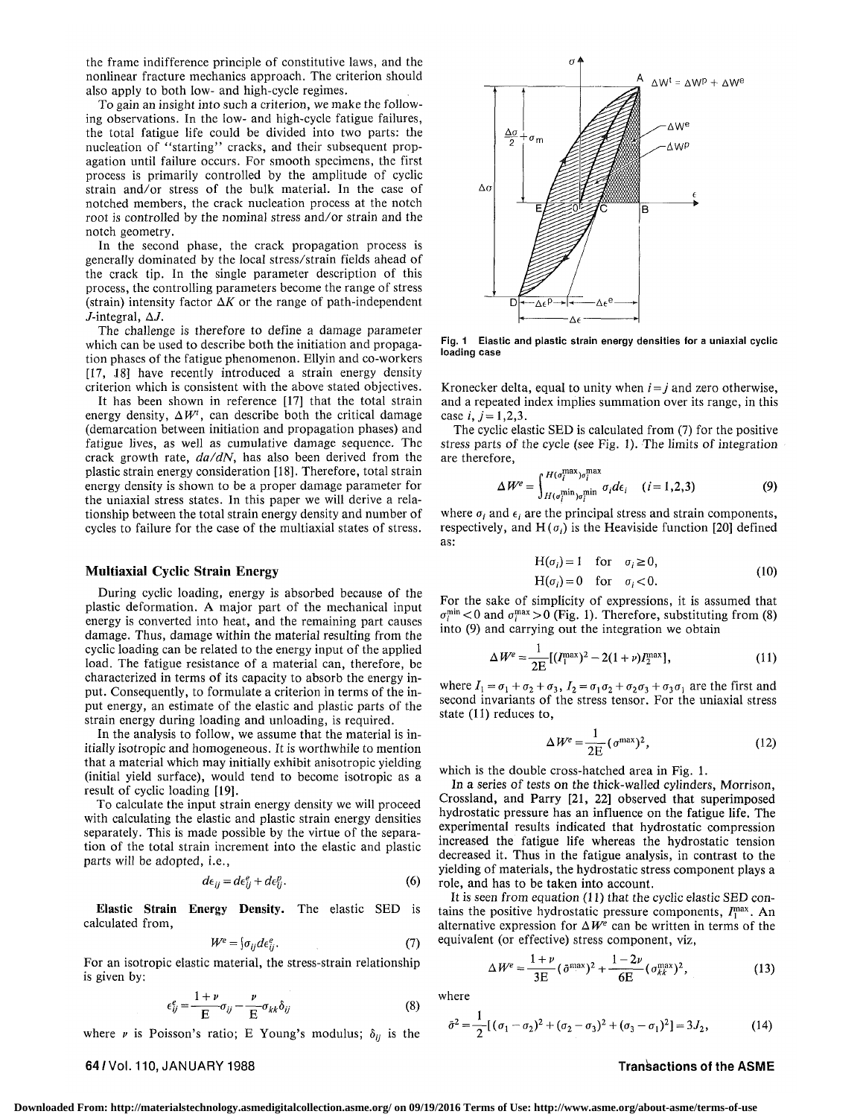the frame indifference principle of constitutive laws, and the nonlinear fracture mechanics approach. The criterion should also apply to both low- and high-cycle regimes.

To gain an insight into such a criterion, we make the following observations. In the low- and high-cycle fatigue failures, the total fatigue life could be divided into two parts: the nucleation of "starting" cracks, and their subsequent propagation until failure occurs. For smooth specimens, the first process is primarily controlled by the amplitude of cyclic strain and/or stress of the bulk material. In the case of notched members, the crack nucleation process at the notch root is controlled by the nominal stress and/or strain and the notch geometry.

In the second phase, the crack propagation process is generally dominated by the local stress/strain fields ahead of the crack tip. In the single parameter description of this process, the controlling parameters become the range of stress (strain) intensity factor  $\Delta K$  or the range of path-independent  $J$ -integral,  $\Delta J$ .

The challenge is therefore to define a damage parameter which can be used to describe both the initiation and propagation phases of the fatigue phenomenon. Ellyin and co-workers [17, 18] have recently introduced a strain energy density criterion which is consistent with the above stated objectives.

It has been shown in reference [17] that the total strain energy density,  $\Delta W'$ , can describe both the critical damage (demarcation between initiation and propagation phases) and fatigue lives, as well as cumulative damage sequence. The crack growth rate, *da/dN,* has also been derived from the plastic strain energy consideration [18]. Therefore, total strain energy density is shown to be a proper damage parameter for the uniaxial stress states. In this paper we will derive a relationship between the total strain energy density and number of cycles to failure for the case of the multiaxial states of stress.

#### **Multiaxial Cyclic Strain Energy**

During cyclic loading, energy is absorbed because of the plastic deformation. A major part of the mechanical input energy is converted into heat, and the remaining part causes damage. Thus, damage within the material resulting from the cyclic loading can be related to the energy input of the applied load. The fatigue resistance of a material can, therefore, be characterized in terms of its capacity to absorb the energy input. Consequently, to formulate a criterion in terms of the input energy, an estimate of the elastic and plastic parts of the strain energy during loading and unloading, is required.

In the analysis to follow, we assume that the material is initially isotropic and homogeneous. It is worthwhile to mention that a material which may initially exhibit anisotropic yielding (initial yield surface), would tend to become isotropic as a result of cyclic loading [19].

To calculate the input strain energy density we will proceed with calculating the elastic and plastic strain energy densities separately. This is made possible by the virtue of the separation of the total strain increment into the elastic and plastic parts will be adopted, i.e.,

$$
d\epsilon_{ij} = d\epsilon_{ij}^e + d\epsilon_{ij}^p. \tag{6}
$$

**Elastic Strain** Energy Density. The elastic SED is calculated from,

$$
W^e = \{ \sigma_{ij} d\epsilon_{ij}^e. \tag{7}
$$

For an isotropic elastic material, the stress-strain relationship is given by:

$$
\epsilon_{ij}^e = \frac{1+\nu}{E} \sigma_{ij} - \frac{\nu}{E} \sigma_{kk} \delta_{ij}
$$
 (8)

where  $\nu$  is Poisson's ratio; E Young's modulus;  $\delta_{ij}$  is the

## $\Delta W^t = \Delta W^p + \Delta W^e$ **AWe**  $\Delta \sigma$  $\frac{1}{2}$   $\sigma$  m **AWF**  $\Delta$ 0 R D  $-\Delta \epsilon^{\text{p}}$ Δε

Fig. 1 Elastic and plastic strain energy densities for a uniaxial cyclic loading case

Kronecker delta, equal to unity when  $i = j$  and zero otherwise, and a repeated index implies summation over its range, in this case  $i, j = 1, 2, 3$ .

The cyclic elastic SED is calculated from (7) for the positive stress parts of the cycle (see Fig. 1). The limits of integration are therefore,

$$
\Delta W^e = \int_{H(\sigma_i^{\min})\sigma_i^{\min}}^{H(\sigma_i^{\max})\sigma_i^{\max}} \sigma_i d\epsilon_i \quad (i = 1, 2, 3)
$$
 (9)

where  $\sigma_i$  and  $\epsilon_i$  are the principal stress and strain components, respectively, and  $H(\sigma_i)$  is the Heaviside function [20] defined as:

$$
H(\sigma_i) = 1 \quad \text{for} \quad \sigma_i \ge 0,
$$
  
 
$$
H(\sigma_i) = 0 \quad \text{for} \quad \sigma_i < 0.
$$
 (10)

For the sake of simplicity of expressions, it is assumed that  $\sigma_i^{\min}$  < 0 and  $\sigma_i^{\max}$  > 0 (Fig. 1). Therefore, substituting from (8) into (9) and carrying out the integration we obtain

$$
\Delta W^e = \frac{1}{2E} [(I_1^{\text{max}})^2 - 2(1+\nu)I_2^{\text{max}}], \tag{11}
$$

where  $I_1 = \sigma_1 + \sigma_2 + \sigma_3$ ,  $I_2 = \sigma_1 \sigma_2 + \sigma_2 \sigma_3 + \sigma_3 \sigma_1$  are the first and second invariants of the stress tensor. For the uniaxial stress state (11) reduces to,

$$
\Delta W^e = \frac{1}{2E} \left( \sigma^{\text{max}} \right)^2, \tag{12}
$$

which is the double cross-hatched area in Fig. 1.

In a series of tests on the thick-walled cylinders, Morrison, Crossland, and Parry [21, 22] observed that superimposed hydrostatic pressure has an influence on the fatigue life. The experimental results indicated that hydrostatic compression increased the fatigue life whereas the hydrostatic tension decreased it. Thus in the fatigue analysis, in contrast to the yielding of materials, the hydrostatic stress component plays a role, and has to be taken into account.

It is seen from equation (11) that the cyclic elastic SED contains the positive hydrostatic pressure components, *If<sup>m</sup> .* An alternative expression for  $\Delta W^e$  can be written in terms of the equivalent (or effective) stress component, viz,

$$
\Delta W^{e} = \frac{1+\nu}{3E} (\bar{\sigma}^{\max})^{2} + \frac{1-2\nu}{6E} (\sigma_{kk}^{\max})^{2}, \qquad (13)
$$

where

$$
\bar{\sigma}^2 = \frac{1}{2} [(\sigma_1 - \sigma_2)^2 + (\sigma_2 - \sigma_3)^2 + (\sigma_3 - \sigma_1)^2] = 3J_2, \qquad (14)
$$

#### **64/Vol.** 110, JANUARY 1988 Transactions of the AS ME

**Downloaded From: http://materialstechnology.asmedigitalcollection.asme.org/ on 09/19/2016 Terms of Use: http://www.asme.org/about-asme/terms-of-use**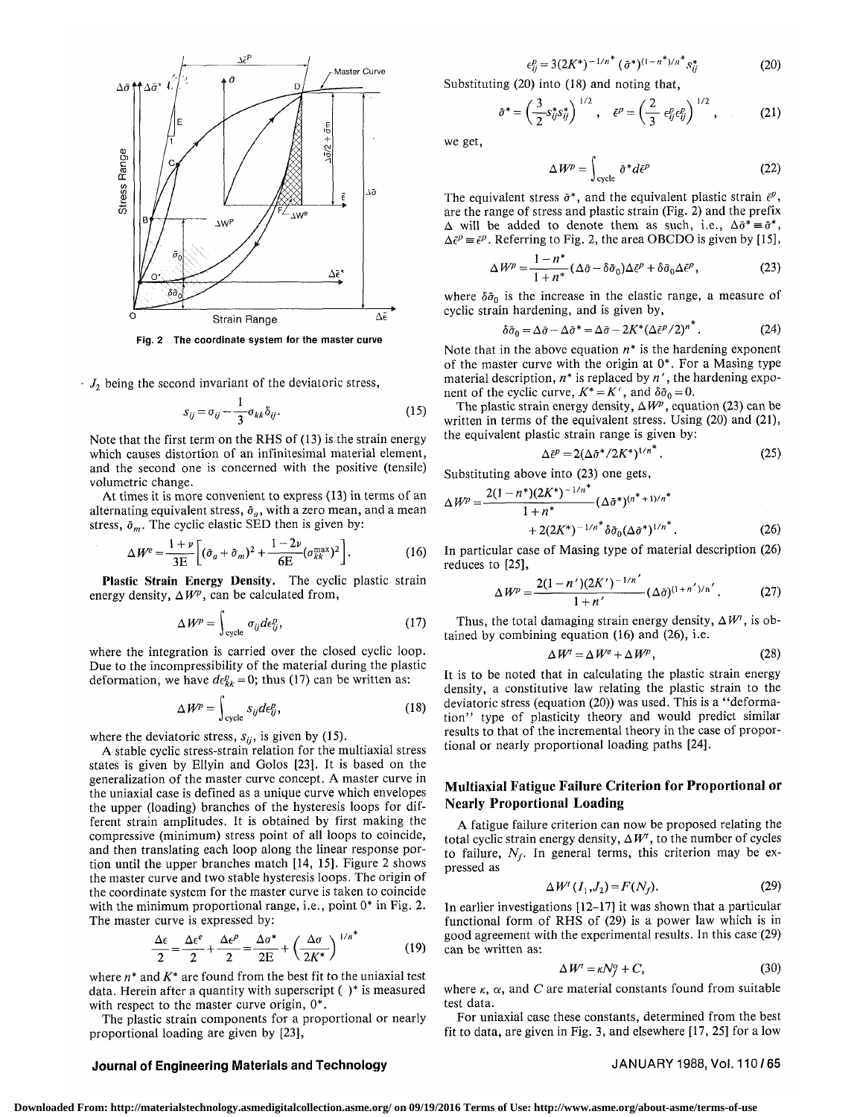

**Fig. 2 The coordinate system for the master curve** 

 $J_2$  being the second invariant of the deviatoric stress,

$$
s_{ij} = \sigma_{ij} - \frac{1}{3} \sigma_{kk} \delta_{ij}.
$$
 (15)

Note that the first term on the RHS of (13) is the strain energy which causes distortion of an infinitesimal material element, and the second one is concerned with the positive (tensile) volumetric change.

At times it is more convenient to express (13) in terms of an alternating equivalent stress,  $\bar{\sigma}_a$ , with a zero mean, and a mean stress,  $\bar{\sigma}_m$ . The cyclic elastic SED then is given by:

$$
\Delta W^{e} = \frac{1+\nu}{3E} \bigg[ (\bar{\sigma}_a + \bar{\sigma}_m)^2 + \frac{1-2\nu}{6E} (\sigma_{kk}^{\max})^2 \bigg].
$$
 (16)

**Plastic Strain Energy Density.** The cyclic plastic strain energy density,  $\Delta W^p$ , can be calculated from,

$$
\Delta W^p = \int_{\text{cycle}} \sigma_{ij} d\epsilon_{ij}^p, \qquad (17)
$$

where the integration is carried over the closed cyclic loop. Due to the incompressibility of the material during the plastic deformation, we have  $de_{kk}^p = 0$ ; thus (17) can be written as:

$$
\Delta W^p = \int_{\text{cycle}} s_{ij} d\epsilon_{ij}^p, \qquad (18)
$$

where the deviatoric stress,  $s_{ij}$ , is given by (15).

A stable cyclic stress-strain relation for the multiaxial stress states is given by Ellyin and Golos [23]. It is based on the generalization of the master curve concept. A master curve in the uniaxial case is defined as a unique curve which envelopes the upper (loading) branches of the hysteresis loops for different strain amplitudes. It is obtained by first making the compressive (minimum) stress point of all loops to coincide, and then translating each loop along the linear response portion until the upper branches match [14, 15]. Figure 2 shows the master curve and two stable hysteresis loops. The origin of the coordinate system for the master curve is taken to coincide with the minimum proportional range, i.e., point  $0^*$  in Fig. 2. The master curve is expressed by:

$$
\frac{\Delta \epsilon}{2} = \frac{\Delta \epsilon^e}{2} + \frac{\Delta \epsilon^p}{2} = \frac{\Delta \sigma^*}{2E} + \left(\frac{\Delta \sigma}{2K^*}\right)^{1/n^*} \tag{19}
$$

where *n\** and *K\** are found from the best fit to the uniaxial test data. Herein after a quantity with superscript ( )\* is measured with respect to the master curve origin,  $0^*$ .

The plastic strain components for a proportional or nearly proportional loading are given by [23],

$$
\epsilon_{ii}^p = 3(2K^*)^{-1/n^*} (\bar{\sigma}^*)^{(1-n^*)/n^*} s_{ii}^* \tag{20}
$$

Substituting (20) into (18) and noting that,

$$
\bar{\sigma}^* = \left(\frac{3}{2} s_{ij}^* s_{ij}^*\right)^{1/2}, \quad \bar{\epsilon}^p = \left(\frac{2}{3} \epsilon_{ij}^p \epsilon_{ij}^p\right)^{1/2}, \quad (21)
$$

we get,

$$
\Delta W^p = \int_{\text{cycle}} \tilde{\sigma}^* d\tilde{\epsilon}^p \tag{22}
$$

The equivalent stress  $\bar{\sigma}^*$ , and the equivalent plastic strain  $\bar{\epsilon}^p$ , are the range of stress and plastic strain (Fig. 2) and the prefix  $\Delta$  will be added to denote them as such, i.e.,  $\Delta \bar{\sigma}^* = \bar{\sigma}^*$ ,  $\Delta \bar{\epsilon}^p = \bar{\epsilon}^p$ . Referring to Fig. 2, the area OBCDO is given by [15],

$$
\Delta W^p = \frac{1 - n^*}{1 + n^*} (\Delta \bar{\sigma} - \delta \bar{\sigma}_0) \Delta \bar{\epsilon}^p + \delta \bar{\sigma}_0 \Delta \bar{\epsilon}^p, \tag{23}
$$

where  $\delta \bar{\sigma}_0$  is the increase in the elastic range, a measure of cyclic strain hardening, and is given by,

$$
\delta\bar{\sigma}_0 = \Delta\bar{\sigma} - \Delta\bar{\sigma}^* = \Delta\bar{\sigma} - 2K^*(\Delta\bar{\epsilon}^p/2)^{n^*}.
$$
 (24)

Note that in the above equation *n\** is the hardening exponent of the master curve with the origin at 0\*. For a Masing type material description, *n\** is replaced by *n'*, the hardening exponent of the cyclic curve,  $K^* = K'$ , and  $\delta \bar{\sigma}_0 = 0$ .

The plastic strain energy density,  $\Delta W^p$ , equation (23) can be written in terms of the equivalent stress. Using (20) and (21), the equivalent plastic strain range is given by:

$$
\Delta \bar{\epsilon}^p = 2(\Delta \bar{\sigma}^*/2K^*)^{1/n^*} \,. \tag{25}
$$

Substituting above into (23) one gets,

$$
\Delta W^{p} = \frac{2(1 - n^{*})(2K^{*})^{-1/n^{*}}}{1 + n^{*}} (\Delta \bar{\sigma}^{*})^{(n^{*} + 1)/n^{*}} + 2(2K^{*})^{-1/n^{*}} \delta \bar{\sigma}_{0} (\Delta \bar{\sigma}^{*})^{1/n^{*}}.
$$
\n(26)

In particular case of Masing type of material description (26) reduces to [25],

$$
\Delta W^{p} = \frac{2(1-n')(2K')^{-1/n'}}{1+n'} (\Delta \bar{\sigma})^{(1+n')/n'}.
$$
 (27)

Thus, the total damaging strain energy density,  $\Delta W^t$ , is obtained by combining equation (16) and (26), i.e.

$$
\Delta W^t = \Delta W^e + \Delta W^p, \qquad (28)
$$

It is to be noted that in calculating the plastic strain energy density, a constitutive law relating the plastic strain to the deviatoric stress (equation (20)) was used. This is a "deformation" type of plasticity theory and would predict similar results to that of the incremental theory in the case of proportional or nearly proportional loading paths [24].

#### **Multiaxial Fatigue Failure Criterion for Proportional or Nearly Proportional Loading**

A fatigue failure criterion can now be proposed relating the total cyclic strain energy density,  $\Delta W^t$ , to the number of cycles to failure, *N<sup>f</sup> .* In general terms, this criterion may be expressed as

$$
\Delta W^{\dagger} (I_1, J_2) = F(N_f). \tag{29}
$$

In earlier investigations [12-17] it was shown that a particular functional form of RHS of (29) is a power law which is in good agreement with the experimental results. In this case (29) can be written as:

$$
\Delta W^{\prime} = \kappa N_f^{\alpha} + C,\tag{30}
$$

where  $\kappa$ ,  $\alpha$ , and C are material constants found from suitable test data.

For uniaxial case these constants, determined from the best fit to data, are given in Fig. 3, and elsewhere [17, 25] for a low

### **Journal of Engineering Materials and Technology** JANUARY 1988, Vol. 110/65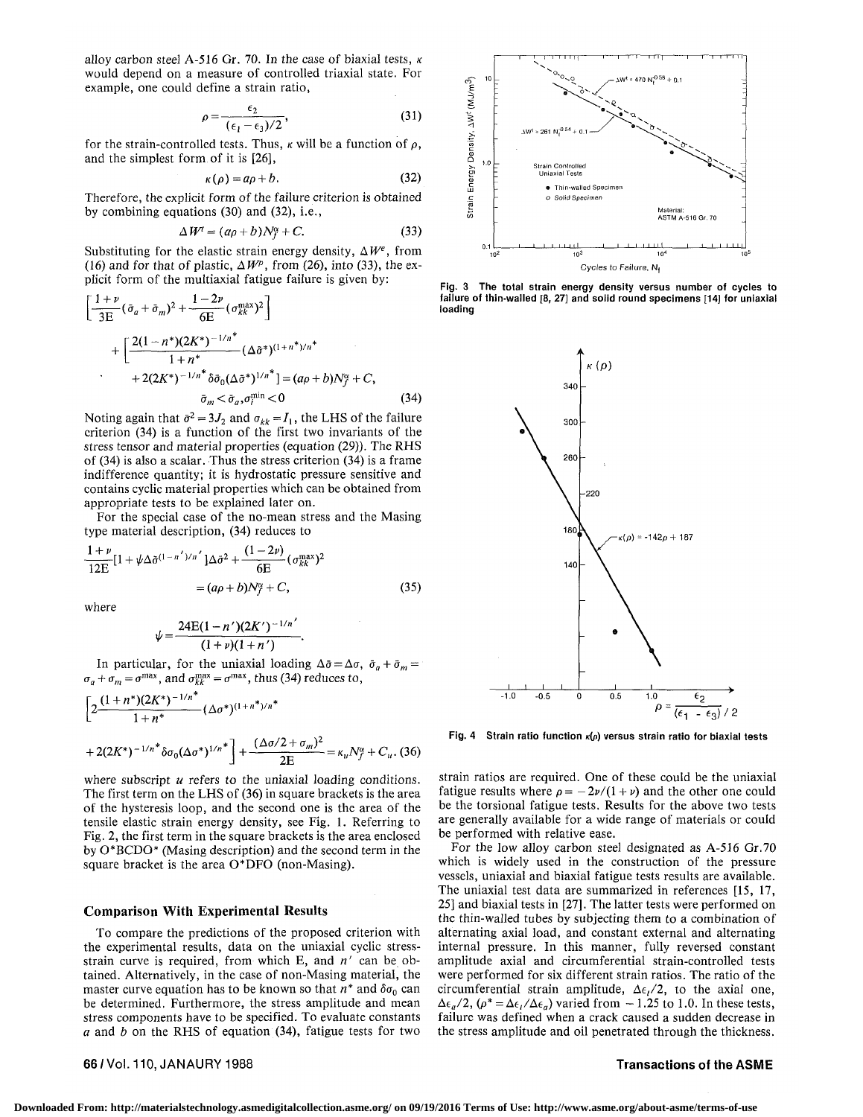alloy carbon steel A-516 Gr. 70. In the case of biaxial tests,  $\kappa$ would depend on a measure of controlled triaxial state. For example, one could define a strain ratio,

$$
\rho = \frac{\epsilon_2}{(\epsilon_1 - \epsilon_3)/2},\tag{31}
$$

for the strain-controlled tests. Thus,  $\kappa$  will be a function of  $\rho$ , and the simplest form of it is [26],

$$
\kappa(\rho) = a\rho + b. \tag{32}
$$

Therefore, the explicit form of the failure criterion is obtained by combining equations (30) and (32), i.e.,

$$
\Delta W^{\prime} = (a\rho + b)N_f^{\alpha} + C. \tag{33}
$$

Substituting for the elastic strain energy density,  $\Delta W^e$ , from (16) and for that of plastic,  $\Delta W$ <sup>p</sup>, from (26), into (33), the explicit form of the multiaxial fatigue failure is given by:

$$
\left[\frac{1+\nu}{3E}(\bar{\sigma}_a+\bar{\sigma}_m)^2+\frac{1-2\nu}{6E}(\sigma_{kk}^{\max})^2\right] \n+\left[\frac{2(1-n^*)(2K^*)^{-1/n^*}}{1+n^*}(\Delta\tilde{\sigma}^*)^{(1+n^*)/n^*} +2(2K^*)^{-1/n^*}\delta\bar{\sigma}_0(\Delta\tilde{\sigma}^*)^{1/n^*}\right]=(a\rho+b)N_f^{\alpha}+C,
$$
\n
$$
\bar{\sigma}_m<\bar{\sigma}_a,\sigma_i^{\min}<0
$$
\n(34)

Noting again that  $\bar{\sigma}^2 = 3J_2$  and  $\sigma_{kk} = I_1$ , the LHS of the failure criterion (34) is a function of the first two invariants of the stress tensor and material properties (equation (29)). The RHS of (34) is also a scalar. Thus the stress criterion (34) is a frame indifference quantity; it is hydrostatic pressure sensitive and contains cyclic material properties which can be obtained from appropriate tests to be explained later on.

For the special case of the no-mean stress and the Masing type material description, (34) reduces to

$$
\frac{1+\nu}{12E} [1+\psi \Delta \tilde{\sigma}^{(1-n')/n'}] \Delta \tilde{\sigma}^2 + \frac{(1-2\nu)}{6E} (\sigma_{kk}^{\text{max}})^2
$$
  
=  $(a\rho + b)N_f^{\alpha} + C,$  (35)

where

$$
\psi = \frac{24E(1-n')(2K')^{-1/n'}}{(1+\nu)(1+n')}
$$

In particular, for the uniaxial loading  $\Delta \bar{\sigma} = \Delta \sigma$ ,  $\bar{\sigma}_a + \bar{\sigma}_m =$  $\sigma_a + \sigma_m = \sigma^{\text{max}}$ , and  $\sigma_{kk}^{\text{max}} = \sigma^{\text{max}}$ , thus (34) reduces to,

$$
\left[2\frac{(1+n^*)(2K^*)^{-1/n^*}}{1+n^*}(\Delta\sigma^*)^{(1+n^*)/n^*} + 2(2K^*)^{-1/n^*}\delta\sigma_0(\Delta\sigma^*)^{1/n^*}\right] + \frac{(\Delta\sigma/2+\sigma_m)^2}{2E} = \kappa_u N_f^{\alpha} + C_u. (36)
$$

where subscript *u* refers to the uniaxial loading conditions. The first term on the LHS of (36) in square brackets is the area of the hysteresis loop, and the second one is the area of the tensile elastic strain energy density, see Fig. 1. Referring to Fig. 2, the first term in the square brackets is the area enclosed by 0\*BCDO\* (Masing description) and the second term in the square bracket is the area 0\*DFO (non-Masing).

#### **Comparison With Experimental Results**

To compare the predictions of the proposed criterion with the experimental results, data on the uniaxial cyclic stressstrain curve is required, from which E, and *n'* can be obtained. Alternatively, in the case of non-Masing material, the master curve equation has to be known so that  $n^*$  and  $\delta\sigma_0$  can be determined. Furthermore, the stress amplitude and mean stress components have to be specified. To evaluate constants *a* and *b* on the RHS of equation (34), fatigue tests for two

66/Vol. 110, JANAURY 1988 Transactions of the ASME



Fig. 3 The total strain energy density versus number of cycles to failure of thin-walled [8, 27] and solid round specimens [14] for uniaxial loading



Fig. 4 Strain ratio function  $\kappa(\rho)$  versus strain ratio for biaxial tests

strain ratios are required. One of these could be the uniaxial fatigue results where  $\rho = -2\nu/(1 + \nu)$  and the other one could be the torsional fatigue tests. Results for the above two tests are generally available for a wide range of materials or could be performed with relative ease.

For the low alloy carbon steel designated as A-516 Gr.70 which is widely used in the construction of the pressure vessels, uniaxial and biaxial fatigue tests results are available. The uniaxial test data are summarized in references [15, 17, 25] and biaxial tests in [27]. The latter tests were performed on the thin-walled tubes by subjecting them to a combination of alternating axial load, and constant external and alternating internal pressure. In this manner, fully reversed constant amplitude axial and circumferential strain-controlled tests were performed for six different strain ratios. The ratio of the circumferential strain amplitude,  $\Delta \epsilon_1/2$ , to the axial one,  $\Delta \epsilon_a/2$ ,  $(\rho^* = \Delta \epsilon_t / \Delta \epsilon_a)$  varied from  $-1.25$  to 1.0. In these tests, failure was defined when a crack caused a sudden decrease in the stress amplitude and oil penetrated through the thickness.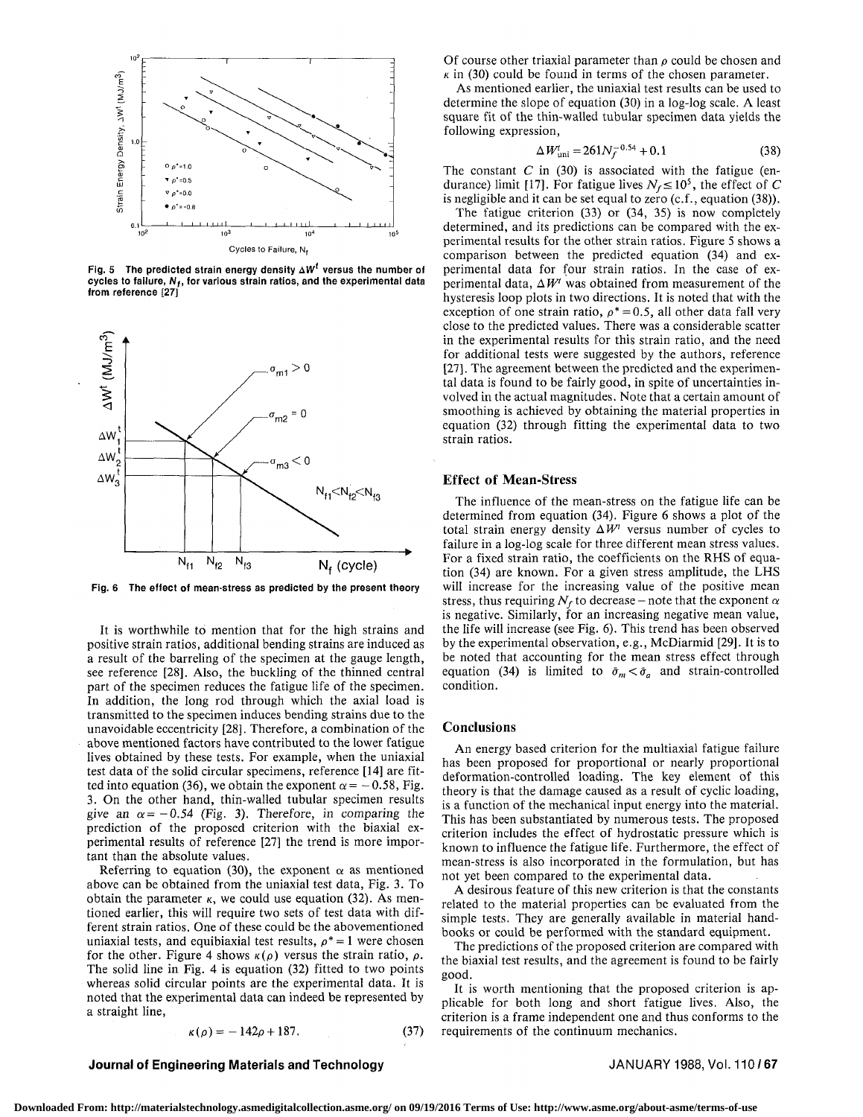

Fig. 5 The predicted strain energy density  $\Delta W^t$  versus the number of cycles to failure,  $N_f$ , for various strain ratios, and the experimental data from reference [27]



Fig. 6 The effect of mean-stress as predicted by the present theory

It is worthwhile to mention that for the high strains and positive strain ratios, additional bending strains are induced as a result of the barreling of the specimen at the gauge length, see reference [28]. Also, the buckling of the thinned central part of the specimen reduces the fatigue life of the specimen. In addition, the long rod through which the axial load is transmitted to the specimen induces bending strains due to the unavoidable eccentricity [28]. Therefore, a combination of the above mentioned factors have contributed to the lower fatigue lives obtained by these tests. For example, when the uniaxial test data of the solid circular specimens, reference [14] are fitted into equation (36), we obtain the exponent  $\alpha = -0.58$ , Fig. 3. On the other hand, thin-walled tubular specimen results give an  $\alpha = -0.54$  (Fig. 3). Therefore, in comparing the prediction of the proposed criterion with the biaxial experimental results of reference [27] the trend is more important than the absolute values.

Referring to equation (30), the exponent  $\alpha$  as mentioned above can be obtained from the uniaxial test data, Fig. 3. To obtain the parameter  $\kappa$ , we could use equation (32). As mentioned earlier, this will require two sets of test data with different strain ratios. One of these could be the abovementioned uniaxial tests, and equibiaxial test results,  $\rho^* = 1$  were chosen for the other. Figure 4 shows  $\kappa(\rho)$  versus the strain ratio,  $\rho$ . The solid line in Fig. 4 is equation (32) fitted to two points whereas solid circular points are the experimental data. It is noted that the experimental data can indeed be represented by a straight line,

$$
\kappa(\rho) = -142\rho + 187. \tag{37}
$$

Of course other triaxial parameter than *p* could be chosen and  $\kappa$  in (30) could be found in terms of the chosen parameter.

As mentioned earlier, the uniaxial test results can be used to determine the slope of equation (30) in a log-log scale. A least square fit of the thin-walled tubular specimen data yields the following expression,

$$
\Delta W_{\text{uni}}^{\text{t}} = 261N_f^{-0.54} + 0.1\tag{38}
$$

The constant *C* in (30) is associated with the fatigue (endurance) limit [17]. For fatigue lives  $N_f \le 10^5$ , the effect of C is negligible and it can be set equal to zero (c.f., equation (38)).

The fatigue criterion (33) or (34, 35) is now completely determined, and its predictions can be compared with the experimental results for the other strain ratios. Figure 5 shows a comparison between the predicted equation (34) and experimental data for four strain ratios. In the case of experimental data,  $\Delta W^{\prime}$  was obtained from measurement of the hysteresis loop plots in two directions. It is noted that with the exception of one strain ratio,  $\rho^* = 0.5$ , all other data fall very close to the predicted values. There was a considerable scatter in the experimental results for this strain ratio, and the need for additional tests were suggested by the authors, reference [27]. The agreement between the predicted and the experimental data is found to be fairly good, in spite of uncertainties involved in the actual magnitudes. Note that a certain amount of smoothing is achieved by obtaining the material properties in equation (32) through fitting the experimental data to two strain ratios.

#### **Effect of Mean-Stress**

The influence of the mean-stress on the fatigue life can be determined from equation (34). Figure 6 shows a plot of the total strain energy density  $\Delta W^t$  versus number of cycles to failure in a log-log scale for three different mean stress values. For a fixed strain ratio, the coefficients on the RHS of equation (34) are known. For a given stress amplitude, the LHS will increase for the increasing value of the positive mean stress, thus requiring  $N_f$  to decrease – note that the exponent  $\alpha$ is negative. Similarly, for an increasing negative mean value, the life will increase (see Fig. 6). This trend has been observed by the experimental observation, e.g., McDiarmid [29]. It is to be noted that accounting for the mean stress effect through equation (34) is limited to  $\bar{\sigma}_m < \bar{\sigma}_a$  and strain-controlled condition.

#### **Conclusions**

An energy based criterion for the multiaxial fatigue failure has been proposed for proportional or nearly proportional deformation-controlled loading. The key element of this theory is that the damage caused as a result of cyclic loading, is a function of the mechanical input energy into the material. This has been substantiated by numerous tests. The proposed criterion includes the effect of hydrostatic pressure which is known to influence the fatigue life. Furthermore, the effect of mean-stress is also incorporated in the formulation, but has not yet been compared to the experimental data.

A desirous feature of this new criterion is that the constants related to the material properties can be evaluated from the simple tests. They are generally available in material handbooks or could be performed with the standard equipment.

The predictions of the proposed criterion are compared with the biaxial test results, and the agreement is found to be fairly good.

It is worth mentioning that the proposed criterion is applicable for both long and short fatigue lives. Also, the criterion is a frame independent one and thus conforms to the requirements of the continuum mechanics.

#### **Journal of Engineering Materials and Technology <b>State 1988, Vol. 110/67** JANUARY 1988, Vol. 110/67